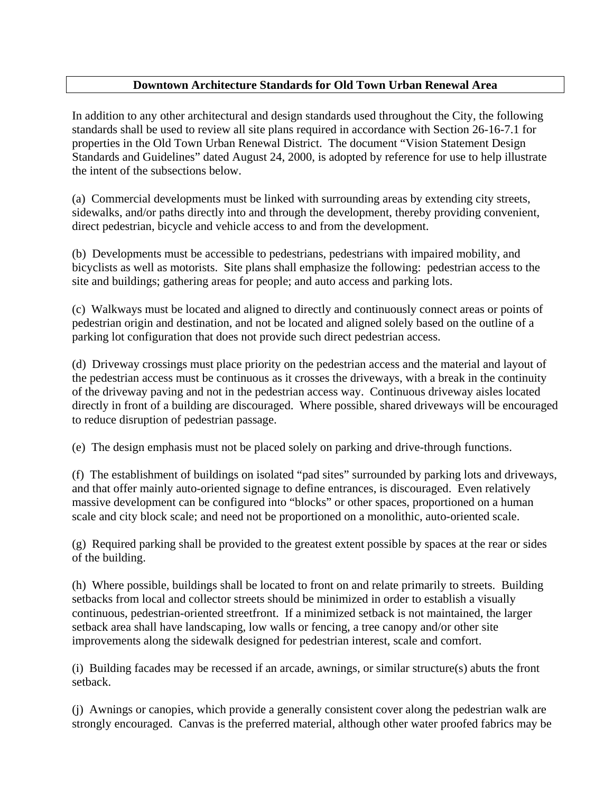## **Downtown Architecture Standards for Old Town Urban Renewal Area**

In addition to any other architectural and design standards used throughout the City, the following standards shall be used to review all site plans required in accordance with Section 26-16-7.1 for properties in the Old Town Urban Renewal District. The document "Vision Statement Design Standards and Guidelines" dated August 24, 2000, is adopted by reference for use to help illustrate the intent of the subsections below.

(a) Commercial developments must be linked with surrounding areas by extending city streets, sidewalks, and/or paths directly into and through the development, thereby providing convenient, direct pedestrian, bicycle and vehicle access to and from the development.

(b) Developments must be accessible to pedestrians, pedestrians with impaired mobility, and bicyclists as well as motorists. Site plans shall emphasize the following: pedestrian access to the site and buildings; gathering areas for people; and auto access and parking lots.

(c) Walkways must be located and aligned to directly and continuously connect areas or points of pedestrian origin and destination, and not be located and aligned solely based on the outline of a parking lot configuration that does not provide such direct pedestrian access.

(d) Driveway crossings must place priority on the pedestrian access and the material and layout of the pedestrian access must be continuous as it crosses the driveways, with a break in the continuity of the driveway paving and not in the pedestrian access way. Continuous driveway aisles located directly in front of a building are discouraged. Where possible, shared driveways will be encouraged to reduce disruption of pedestrian passage.

(e) The design emphasis must not be placed solely on parking and drive-through functions.

(f) The establishment of buildings on isolated "pad sites" surrounded by parking lots and driveways, and that offer mainly auto-oriented signage to define entrances, is discouraged. Even relatively massive development can be configured into "blocks" or other spaces, proportioned on a human scale and city block scale; and need not be proportioned on a monolithic, auto-oriented scale.

(g) Required parking shall be provided to the greatest extent possible by spaces at the rear or sides of the building.

(h) Where possible, buildings shall be located to front on and relate primarily to streets. Building setbacks from local and collector streets should be minimized in order to establish a visually continuous, pedestrian-oriented streetfront. If a minimized setback is not maintained, the larger setback area shall have landscaping, low walls or fencing, a tree canopy and/or other site improvements along the sidewalk designed for pedestrian interest, scale and comfort.

(i) Building facades may be recessed if an arcade, awnings, or similar structure(s) abuts the front setback.

(j) Awnings or canopies, which provide a generally consistent cover along the pedestrian walk are strongly encouraged. Canvas is the preferred material, although other water proofed fabrics may be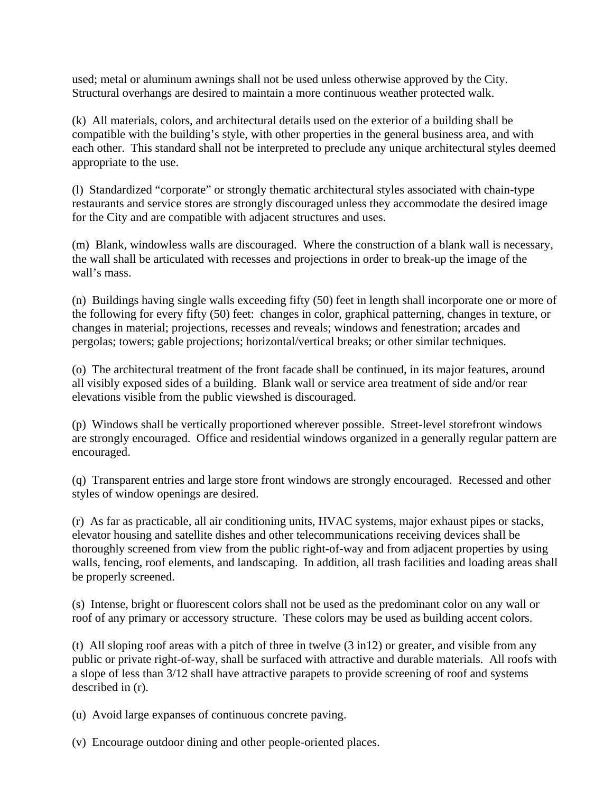used; metal or aluminum awnings shall not be used unless otherwise approved by the City. Structural overhangs are desired to maintain a more continuous weather protected walk.

(k) All materials, colors, and architectural details used on the exterior of a building shall be compatible with the building's style, with other properties in the general business area, and with each other. This standard shall not be interpreted to preclude any unique architectural styles deemed appropriate to the use.

(l) Standardized "corporate" or strongly thematic architectural styles associated with chain-type restaurants and service stores are strongly discouraged unless they accommodate the desired image for the City and are compatible with adjacent structures and uses.

(m) Blank, windowless walls are discouraged. Where the construction of a blank wall is necessary, the wall shall be articulated with recesses and projections in order to break-up the image of the wall's mass.

(n) Buildings having single walls exceeding fifty (50) feet in length shall incorporate one or more of the following for every fifty (50) feet: changes in color, graphical patterning, changes in texture, or changes in material; projections, recesses and reveals; windows and fenestration; arcades and pergolas; towers; gable projections; horizontal/vertical breaks; or other similar techniques.

(o) The architectural treatment of the front facade shall be continued, in its major features, around all visibly exposed sides of a building. Blank wall or service area treatment of side and/or rear elevations visible from the public viewshed is discouraged.

(p) Windows shall be vertically proportioned wherever possible. Street-level storefront windows are strongly encouraged. Office and residential windows organized in a generally regular pattern are encouraged.

(q) Transparent entries and large store front windows are strongly encouraged. Recessed and other styles of window openings are desired.

(r) As far as practicable, all air conditioning units, HVAC systems, major exhaust pipes or stacks, elevator housing and satellite dishes and other telecommunications receiving devices shall be thoroughly screened from view from the public right-of-way and from adjacent properties by using walls, fencing, roof elements, and landscaping. In addition, all trash facilities and loading areas shall be properly screened.

(s) Intense, bright or fluorescent colors shall not be used as the predominant color on any wall or roof of any primary or accessory structure. These colors may be used as building accent colors.

(t) All sloping roof areas with a pitch of three in twelve (3 in12) or greater, and visible from any public or private right-of-way, shall be surfaced with attractive and durable materials. All roofs with a slope of less than 3/12 shall have attractive parapets to provide screening of roof and systems described in (r).

(u) Avoid large expanses of continuous concrete paving.

(v) Encourage outdoor dining and other people-oriented places.